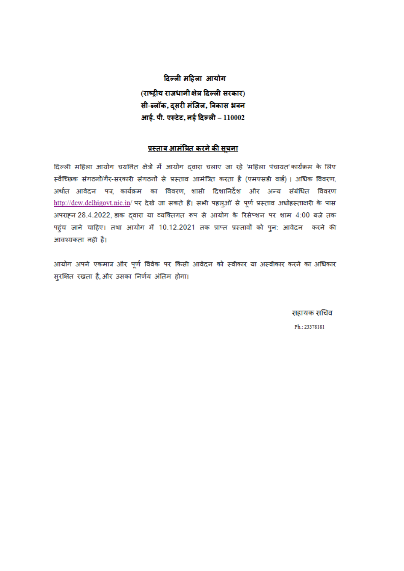दिल्ली महिला आयोग (राष्टीय राजधानीक्षेत्र दिल्ली सरकार) सी-ढलॉक, दूसरी मंजिल, विकास भवन आई. पी. एस्टेट, नई दिल्ली - 110002

### <u>प्रस्ताव आमंत्रित करने की सचना</u>

दिल्ली महिला आयोग चयनित क्षेत्रों में आयोग दवारा चलाए जा रहे 'महिला पंचायत'कार्यक्रम के लिए स्वैच्छिक संगठनों/गैर-सरकारी संगठनों से प्रस्ताव आमंत्रित करता है (एमएसडी वार्ड)। अधिक विवरण, .<br>अर्थात आवेदन पत्र, कार्यक्रम का विवरण, शासी दिशानिर्देश और अन्य संबंधित विवरण http://dcw.delhigovt.nic.in/ पर देखे जा सकते हैं। सभी पहलुओं से पूर्ण प्रस्ताव अधोहस्ताक्षरी के पास अपराहन 28.4.2022, डाक द्वारा या व्यक्तिगत रूप से आयोग के रिसेप्शन पर शाम 4:00 बजे तक पहुंच जाने चाहिए। तथा आयोग में 10.12.2021 तक प्राप्त प्रस्तावों को पुन: आवेदन करने की आवश्यकता नहीं है।

आयोग अपने एकमात्र और पूर्ण विवेक पर किसी आवेदन को स्वीकार या अस्वीकार करने का अधिकार सुरक्षित रखता है,और उसका निर्णय अंतिम होगा।

सहायक सचिव

Ph.: 23378181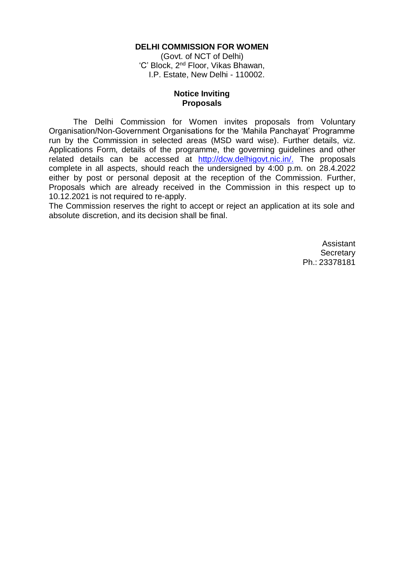#### **DELHI COMMISSION FOR WOMEN**

(Govt. of NCT of Delhi) 'C' Block, 2<sup>nd</sup> Floor, Vikas Bhawan, I.P. Estate, New Delhi - 110002.

#### **Notice Inviting Proposals**

The Delhi Commission for Women invites proposals from Voluntary Organisation/Non-Government Organisations for the 'Mahila Panchayat' Programme run by the Commission in selected areas (MSD ward wise). Further details, viz. Applications Form, details of the programme, the governing guidelines and other related details can be accessed at [http://dcw.delhigovt.nic.in/.](http://dcw.delhigovt.nic.in/) The proposals complete in all aspects, should reach the undersigned by 4:00 p.m. on 28.4.2022 either by post or personal deposit at the reception of the Commission. Further, Proposals which are already received in the Commission in this respect up to 10.12.2021 is not required to re-apply.

The Commission reserves the right to accept or reject an application at its sole and absolute discretion, and its decision shall be final.

> Assistant **Secretary** Ph.: 23378181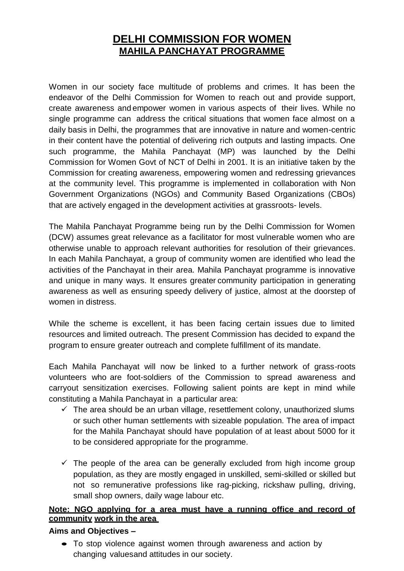# **DELHI COMMISSION FOR WOMEN MAHILA PANCHAYAT PROGRAMME**

Women in our society face multitude of problems and crimes. It has been the endeavor of the Delhi Commission for Women to reach out and provide support, create awareness and empower women in various aspects of their lives. While no single programme can address the critical situations that women face almost on a daily basis in Delhi, the programmes that are innovative in nature and women-centric in their content have the potential of delivering rich outputs and lasting impacts. One such programme, the Mahila Panchayat (MP) was launched by the Delhi Commission for Women Govt of NCT of Delhi in 2001. It is an initiative taken by the Commission for creating awareness, empowering women and redressing grievances at the community level. This programme is implemented in collaboration with Non Government Organizations (NGOs) and Community Based Organizations (CBOs) that are actively engaged in the development activities at grassroots- levels.

The Mahila Panchayat Programme being run by the Delhi Commission for Women (DCW) assumes great relevance as a facilitator for most vulnerable women who are otherwise unable to approach relevant authorities for resolution of their grievances. In each Mahila Panchayat, a group of community women are identified who lead the activities of the Panchayat in their area. Mahila Panchayat programme is innovative and unique in many ways. It ensures greater community participation in generating awareness as well as ensuring speedy delivery of justice, almost at the doorstep of women in distress.

While the scheme is excellent, it has been facing certain issues due to limited resources and limited outreach. The present Commission has decided to expand the program to ensure greater outreach and complete fulfillment of its mandate.

Each Mahila Panchayat will now be linked to a further network of grass-roots volunteers who are foot-soldiers of the Commission to spread awareness and carryout sensitization exercises. Following salient points are kept in mind while constituting a Mahila Panchayat in a particular area:

- $\checkmark$  The area should be an urban village, resettlement colony, unauthorized slums or such other human settlements with sizeable population. The area of impact for the Mahila Panchayat should have population of at least about 5000 for it to be considered appropriate for the programme.
- $\checkmark$  The people of the area can be generally excluded from high income group population, as they are mostly engaged in unskilled, semi-skilled or skilled but not so remunerative professions like rag-picking, rickshaw pulling, driving, small shop owners, daily wage labour etc.

# **Note: NGO applying for a area must have a running office and record of community work in the area**

# **Aims and Objectives –**

 To stop violence against women through awareness and action by changing valuesand attitudes in our society.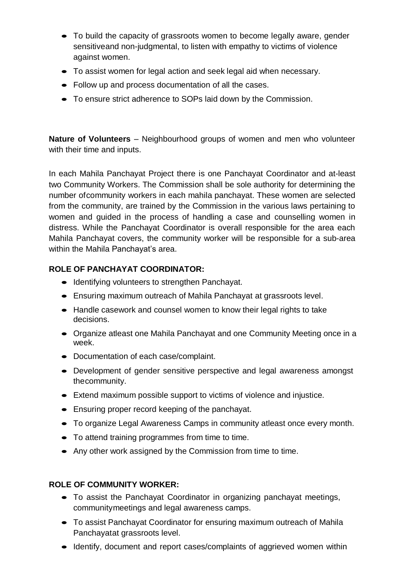- To build the capacity of grassroots women to become legally aware, gender sensitiveand non-judgmental, to listen with empathy to victims of violence against women.
- To assist women for legal action and seek legal aid when necessary.
- Follow up and process documentation of all the cases.
- To ensure strict adherence to SOPs laid down by the Commission.

**Nature of Volunteers** – Neighbourhood groups of women and men who volunteer with their time and inputs.

In each Mahila Panchayat Project there is one Panchayat Coordinator and at-least two Community Workers. The Commission shall be sole authority for determining the number ofcommunity workers in each mahila panchayat. These women are selected from the community, are trained by the Commission in the various laws pertaining to women and guided in the process of handling a case and counselling women in distress. While the Panchayat Coordinator is overall responsible for the area each Mahila Panchayat covers, the community worker will be responsible for a sub-area within the Mahila Panchayat's area.

# **ROLE OF PANCHAYAT COORDINATOR:**

- $\bullet$  Identifying volunteers to strengthen Panchayat.
- Ensuring maximum outreach of Mahila Panchayat at grassroots level.
- Handle casework and counsel women to know their legal rights to take decisions.
- Organize atleast one Mahila Panchayat and one Community Meeting once in a week.
- Documentation of each case/complaint.
- Development of gender sensitive perspective and legal awareness amongst thecommunity.
- Extend maximum possible support to victims of violence and injustice.
- Ensuring proper record keeping of the panchayat.
- To organize Legal Awareness Camps in community atleast once every month.
- To attend training programmes from time to time.
- Any other work assigned by the Commission from time to time.

# **ROLE OF COMMUNITY WORKER:**

- To assist the Panchayat Coordinator in organizing panchayat meetings, communitymeetings and legal awareness camps.
- To assist Panchayat Coordinator for ensuring maximum outreach of Mahila Panchayatat grassroots level.
- Identify, document and report cases/complaints of aggrieved women within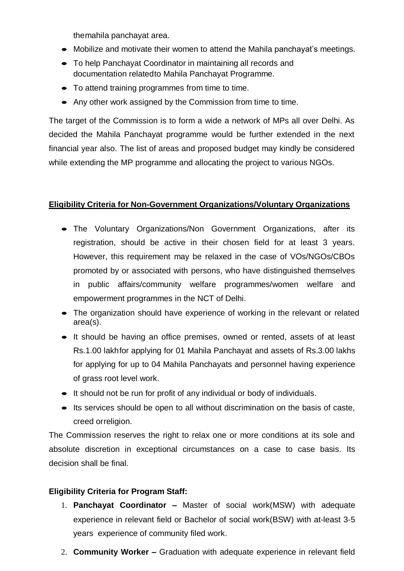themahila panchayat area.

- Mobilize and motivate their women to attend the Mahila panchayat's meetings.
- To help Panchayat Coordinator in maintaining all records and documentation relatedto Mahila Panchayat Programme.
- To attend training programmes from time to time.
- Any other work assigned by the Commission from time to time.

The target of the Commission is to form a wide a network of MPs all over Delhi. As decided the Mahila Panchayat programme would be further extended in the next financial year also. The list of areas and proposed budget may kindly be considered while extending the MP programme and allocating the project to various NGOs.

# **Eligibility Criteria for Non-Government Organizations/Voluntary Organizations**

- The Voluntary Organizations/Non Government Organizations, after its registration, should be active in their chosen field for at least 3 years. However, this requirement may be relaxed in the case of VOs/NGOs/CBOs promoted by or associated with persons, who have distinguished themselves in public affairs/community welfare programmes/women welfare and empowerment programmes in the NCT of Delhi.
- The organization should have experience of working in the relevant or related area(s).
- It should be having an office premises, owned or rented, assets of at least Rs.1.00 lakhfor applying for 01 Mahila Panchayat and assets of Rs.3.00 lakhs for applying for up to 04 Mahila Panchayats and personnel having experience of grass root level work.
- $\bullet$  It should not be run for profit of any individual or body of individuals.
- $\bullet$  Its services should be open to all without discrimination on the basis of caste, creed orreligion.

The Commission reserves the right to relax one or more conditions at its sole and absolute discretion in exceptional circumstances on a case to case basis. Its decision shall be final.

# **Eligibility Criteria for Program Staff:**

- 1. **Panchayat Coordinator –** Master of social work(MSW) with adequate experience in relevant field or Bachelor of social work(BSW) with at-least 3-5 years experience of community filed work.
- 2. **Community Worker –** Graduation with adequate experience in relevant field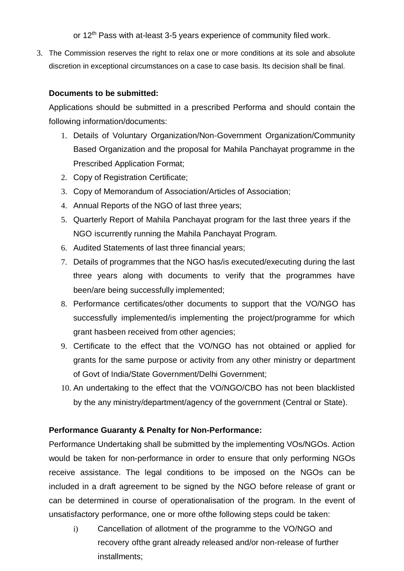or 12<sup>th</sup> Pass with at-least 3-5 years experience of community filed work.

3. The Commission reserves the right to relax one or more conditions at its sole and absolute discretion in exceptional circumstances on a case to case basis. Its decision shall be final.

# **Documents to be submitted:**

Applications should be submitted in a prescribed Performa and should contain the following information/documents:

- 1. Details of Voluntary Organization/Non-Government Organization/Community Based Organization and the proposal for Mahila Panchayat programme in the Prescribed Application Format;
- 2. Copy of Registration Certificate;
- 3. Copy of Memorandum of Association/Articles of Association;
- 4. Annual Reports of the NGO of last three years;
- 5. Quarterly Report of Mahila Panchayat program for the last three years if the NGO iscurrently running the Mahila Panchayat Program.
- 6. Audited Statements of last three financial years;
- 7. Details of programmes that the NGO has/is executed/executing during the last three years along with documents to verify that the programmes have been/are being successfully implemented;
- 8. Performance certificates/other documents to support that the VO/NGO has successfully implemented/is implementing the project/programme for which grant hasbeen received from other agencies;
- 9. Certificate to the effect that the VO/NGO has not obtained or applied for grants for the same purpose or activity from any other ministry or department of Govt of India/State Government/Delhi Government;
- 10. An undertaking to the effect that the VO/NGO/CBO has not been blacklisted by the any ministry/department/agency of the government (Central or State).

# **Performance Guaranty & Penalty for Non-Performance:**

Performance Undertaking shall be submitted by the implementing VOs/NGOs. Action would be taken for non-performance in order to ensure that only performing NGOs receive assistance. The legal conditions to be imposed on the NGOs can be included in a draft agreement to be signed by the NGO before release of grant or can be determined in course of operationalisation of the program. In the event of unsatisfactory performance, one or more ofthe following steps could be taken:

i) Cancellation of allotment of the programme to the VO/NGO and recovery ofthe grant already released and/or non-release of further installments;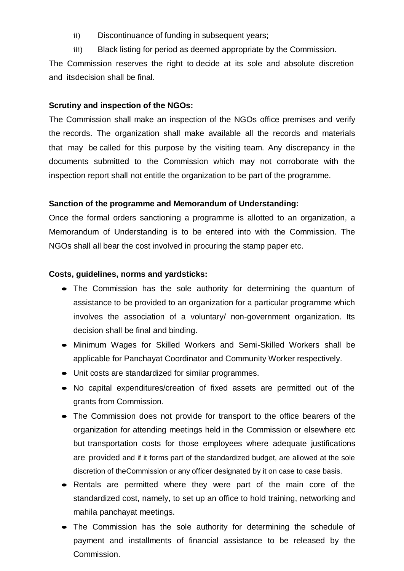- ii) Discontinuance of funding in subsequent years;
- iii) Black listing for period as deemed appropriate by the Commission.

The Commission reserves the right to decide at its sole and absolute discretion and itsdecision shall be final.

# **Scrutiny and inspection of the NGOs:**

The Commission shall make an inspection of the NGOs office premises and verify the records. The organization shall make available all the records and materials that may be called for this purpose by the visiting team. Any discrepancy in the documents submitted to the Commission which may not corroborate with the inspection report shall not entitle the organization to be part of the programme.

## **Sanction of the programme and Memorandum of Understanding:**

Once the formal orders sanctioning a programme is allotted to an organization, a Memorandum of Understanding is to be entered into with the Commission. The NGOs shall all bear the cost involved in procuring the stamp paper etc.

#### **Costs, guidelines, norms and yardsticks:**

- The Commission has the sole authority for determining the quantum of assistance to be provided to an organization for a particular programme which involves the association of a voluntary/ non-government organization. Its decision shall be final and binding.
- Minimum Wages for Skilled Workers and Semi-Skilled Workers shall be applicable for Panchayat Coordinator and Community Worker respectively.
- Unit costs are standardized for similar programmes.
- No capital expenditures/creation of fixed assets are permitted out of the grants from Commission.
- The Commission does not provide for transport to the office bearers of the organization for attending meetings held in the Commission or elsewhere etc but transportation costs for those employees where adequate justifications are provided and if it forms part of the standardized budget, are allowed at the sole discretion of theCommission or any officer designated by it on case to case basis.
- Rentals are permitted where they were part of the main core of the standardized cost, namely, to set up an office to hold training, networking and mahila panchayat meetings.
- The Commission has the sole authority for determining the schedule of payment and installments of financial assistance to be released by the Commission.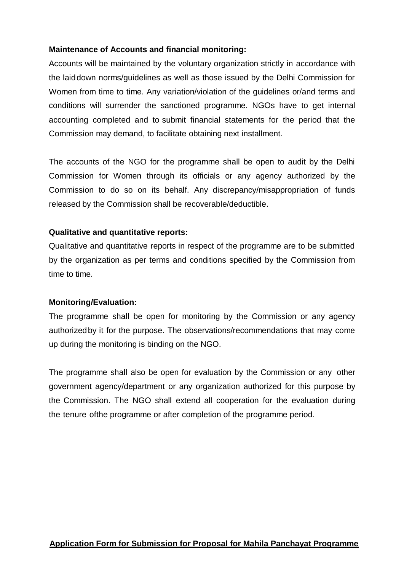# **Maintenance of Accounts and financial monitoring:**

Accounts will be maintained by the voluntary organization strictly in accordance with the laiddown norms/guidelines as well as those issued by the Delhi Commission for Women from time to time. Any variation/violation of the guidelines or/and terms and conditions will surrender the sanctioned programme. NGOs have to get internal accounting completed and to submit financial statements for the period that the Commission may demand, to facilitate obtaining next installment.

The accounts of the NGO for the programme shall be open to audit by the Delhi Commission for Women through its officials or any agency authorized by the Commission to do so on its behalf. Any discrepancy/misappropriation of funds released by the Commission shall be recoverable/deductible.

## **Qualitative and quantitative reports:**

Qualitative and quantitative reports in respect of the programme are to be submitted by the organization as per terms and conditions specified by the Commission from time to time.

#### **Monitoring/Evaluation:**

The programme shall be open for monitoring by the Commission or any agency authorizedby it for the purpose. The observations/recommendations that may come up during the monitoring is binding on the NGO.

The programme shall also be open for evaluation by the Commission or any other government agency/department or any organization authorized for this purpose by the Commission. The NGO shall extend all cooperation for the evaluation during the tenure ofthe programme or after completion of the programme period.

# **Application Form for Submission for Proposal for Mahila Panchayat Programme**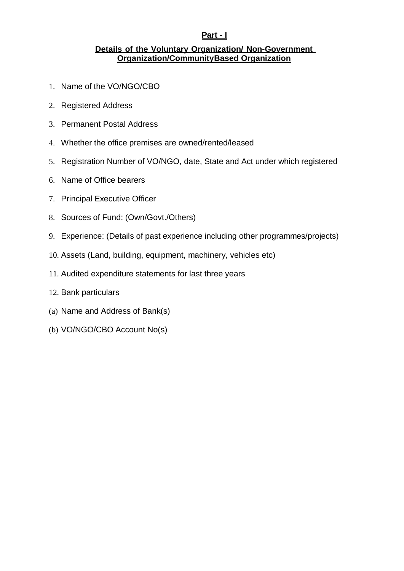# **Part - I**

### **Details of the Voluntary Organization/ Non-Government Organization/CommunityBased Organization**

- 1. Name of the VO/NGO/CBO
- 2. Registered Address
- 3. Permanent Postal Address
- 4. Whether the office premises are owned/rented/leased
- 5. Registration Number of VO/NGO, date, State and Act under which registered
- 6. Name of Office bearers
- 7. Principal Executive Officer
- 8. Sources of Fund: (Own/Govt./Others)
- 9. Experience: (Details of past experience including other programmes/projects)
- 10. Assets (Land, building, equipment, machinery, vehicles etc)
- 11. Audited expenditure statements for last three years
- 12. Bank particulars
- (a) Name and Address of Bank(s)
- (b) VO/NGO/CBO Account No(s)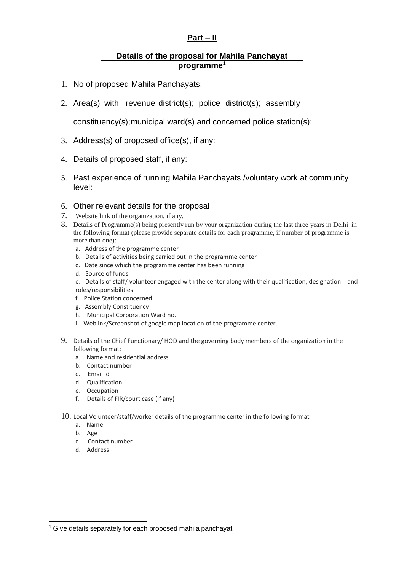# **Part – II**

#### **Details of the proposal for Mahila Panchayat programme<sup>1</sup>**

- 1. No of proposed Mahila Panchayats:
- 2. Area(s) with revenue district(s); police district(s); assembly

constituency(s);municipal ward(s) and concerned police station(s):

- 3. Address(s) of proposed office(s), if any:
- 4. Details of proposed staff, if any:
- 5. Past experience of running Mahila Panchayats /voluntary work at community level:

#### 6. Other relevant details for the proposal

- 7. Website link of the organization, if any.
- 8. Details of Programme(s) being presently run by your organization during the last three years in Delhi in the following format (please provide separate details for each programme, if number of programme is more than one):
	- a. Address of the programme center
	- b. Details of activities being carried out in the programme center
	- c. Date since which the programme center has been running
	- d. Source of funds

e. Details of staff/ volunteer engaged with the center along with their qualification, designation and roles/responsibilities

- f. Police Station concerned.
- g. Assembly Constituency
- h. Municipal Corporation Ward no.
- i. Weblink/Screenshot of google map location of the programme center.
- 9. Details of the Chief Functionary/ HOD and the governing body members of the organization in the following format:
	- a. Name and residential address
	- b. Contact number
	- c. Email id
	- d. Qualification
	- e. Occupation
	- f. Details of FIR/court case (if any)
- 10. Local Volunteer/staff/worker details of the programme center in the following format
	- a. Name
	- b. Age
	- c. Contact number
	- d. Address

<sup>&</sup>lt;sup>1</sup> Give details separately for each proposed mahila panchayat